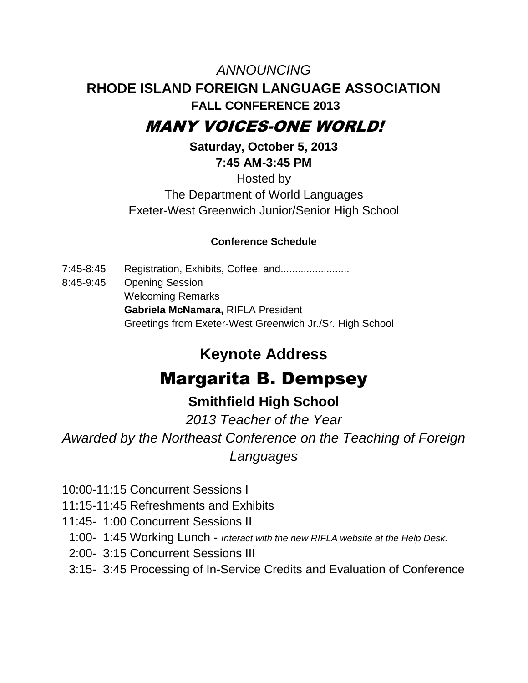# *ANNOUNCING* **RHODE ISLAND FOREIGN LANGUAGE ASSOCIATION FALL CONFERENCE 2013**

## MANY VOICES-ONE WORLD!

**Saturday, October 5, 2013 7:45 AM-3:45 PM**

Hosted by The Department of World Languages Exeter-West Greenwich Junior/Senior High School

## **Conference Schedule**

7:45-8:45 Registration, Exhibits, Coffee, and....................... 8:45-9:45 Opening Session Welcoming Remarks **Gabriela McNamara,** RIFLA President Greetings from Exeter-West Greenwich Jr./Sr. High School

## **Keynote Address**

# Margarita B. Dempsey

## **Smithfield High School**

*2013 Teacher of the Year*

*Awarded by the Northeast Conference on the Teaching of Foreign Languages*

- 10:00-11:15 Concurrent Sessions I
- 11:15-11:45 Refreshments and Exhibits
- 11:45- 1:00 Concurrent Sessions II
- 1:00- 1:45 Working Lunch *Interact with the new RIFLA website at the Help Desk.*
- 2:00- 3:15 Concurrent Sessions III
- 3:15- 3:45 Processing of In-Service Credits and Evaluation of Conference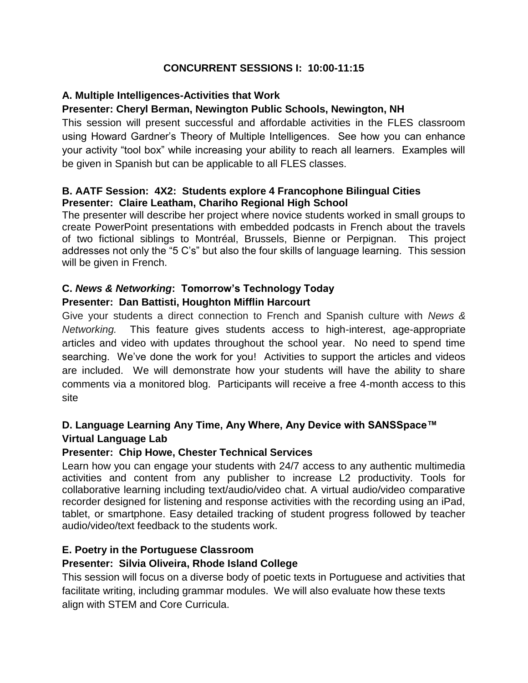#### **CONCURRENT SESSIONS I: 10:00-11:15**

#### **A. Multiple Intelligences-Activities that Work**

#### **Presenter: Cheryl Berman, Newington Public Schools, Newington, NH**

This session will present successful and affordable activities in the FLES classroom using Howard Gardner's Theory of Multiple Intelligences. See how you can enhance your activity "tool box" while increasing your ability to reach all learners. Examples will be given in Spanish but can be applicable to all FLES classes.

#### **B. AATF Session: 4X2: Students explore 4 Francophone Bilingual Cities Presenter: Claire Leatham, Chariho Regional High School**

The presenter will describe her project where novice students worked in small groups to create PowerPoint presentations with embedded podcasts in French about the travels of two fictional siblings to Montréal, Brussels, Bienne or Perpignan. This project addresses not only the "5 C's" but also the four skills of language learning. This session will be given in French.

#### **C.** *News & Networking***: Tomorrow's Technology Today**

#### **Presenter: Dan Battisti, Houghton Mifflin Harcourt**

Give your students a direct connection to French and Spanish culture with *News & Networking.* This feature gives students access to high-interest, age-appropriate articles and video with updates throughout the school year. No need to spend time searching. We've done the work for you! Activities to support the articles and videos are included. We will demonstrate how your students will have the ability to share comments via a monitored blog. Participants will receive a free 4-month access to this site

#### **D. Language Learning Any Time, Any Where, Any Device with SANSSpace™ Virtual Language Lab**

#### **Presenter: Chip Howe, Chester Technical Services**

Learn how you can engage your students with 24/7 access to any authentic multimedia activities and content from any publisher to increase L2 productivity. Tools for collaborative learning including text/audio/video chat. A virtual audio/video comparative recorder designed for listening and response activities with the recording using an iPad, tablet, or smartphone. Easy detailed tracking of student progress followed by teacher audio/video/text feedback to the students work.

#### **E. Poetry in the Portuguese Classroom**

#### **Presenter: Silvia Oliveira, Rhode Island College**

This session will focus on a diverse body of poetic texts in Portuguese and activities that facilitate writing, including grammar modules. We will also evaluate how these texts align with STEM and Core Curricula.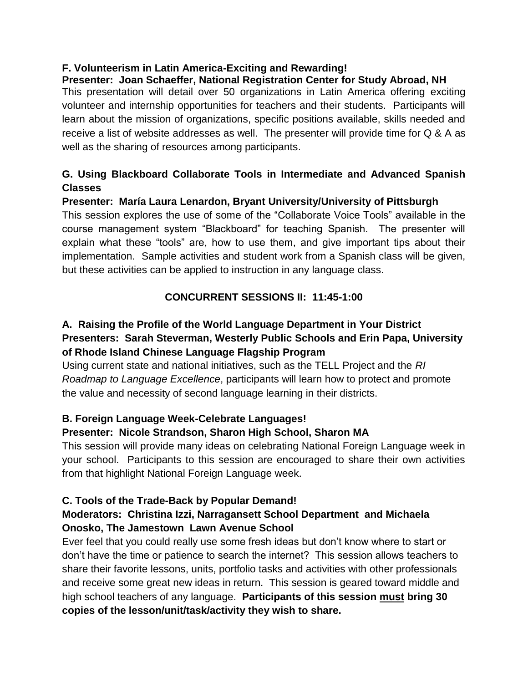## **F. Volunteerism in Latin America-Exciting and Rewarding!**

**Presenter: Joan Schaeffer, National Registration Center for Study Abroad, NH** This presentation will detail over 50 organizations in Latin America offering exciting volunteer and internship opportunities for teachers and their students. Participants will learn about the mission of organizations, specific positions available, skills needed and receive a list of website addresses as well. The presenter will provide time for Q & A as well as the sharing of resources among participants.

## **G. Using Blackboard Collaborate Tools in Intermediate and Advanced Spanish Classes**

#### **Presenter: María Laura Lenardon, Bryant University/University of Pittsburgh**

This session explores the use of some of the "Collaborate Voice Tools" available in the course management system "Blackboard" for teaching Spanish. The presenter will explain what these "tools" are, how to use them, and give important tips about their implementation. Sample activities and student work from a Spanish class will be given, but these activities can be applied to instruction in any language class.

#### **CONCURRENT SESSIONS II: 11:45-1:00**

## **A. Raising the Profile of the World Language Department in Your District Presenters: Sarah Steverman, Westerly Public Schools and Erin Papa, University of Rhode Island Chinese Language Flagship Program**

Using current state and national initiatives, such as the TELL Project and the *RI Roadmap to Language Excellence*, participants will learn how to protect and promote the value and necessity of second language learning in their districts.

## **B. Foreign Language Week-Celebrate Languages!**

#### **Presenter: Nicole Strandson, Sharon High School, Sharon MA**

This session will provide many ideas on celebrating National Foreign Language week in your school. Participants to this session are encouraged to share their own activities from that highlight National Foreign Language week.

## **C. Tools of the Trade-Back by Popular Demand!**

#### **Moderators: Christina Izzi, Narragansett School Department and Michaela Onosko, The Jamestown Lawn Avenue School**

Ever feel that you could really use some fresh ideas but don't know where to start or don't have the time or patience to search the internet? This session allows teachers to share their favorite lessons, units, portfolio tasks and activities with other professionals and receive some great new ideas in return. This session is geared toward middle and high school teachers of any language. **Participants of this session must bring 30 copies of the lesson/unit/task/activity they wish to share.**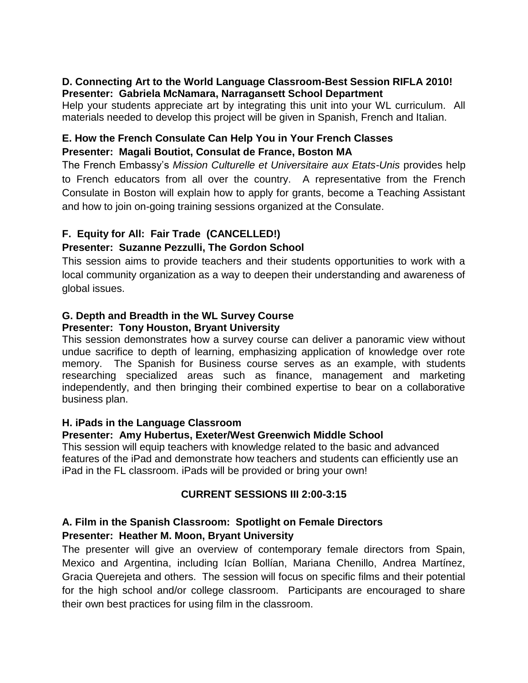#### **D. Connecting Art to the World Language Classroom-Best Session RIFLA 2010! Presenter: Gabriela McNamara, Narragansett School Department**

Help your students appreciate art by integrating this unit into your WL curriculum. All materials needed to develop this project will be given in Spanish, French and Italian.

#### **E. How the French Consulate Can Help You in Your French Classes Presenter: Magali Boutiot, Consulat de France, Boston MA**

The French Embassy's *Mission Culturelle et Universitaire aux Etats-Unis* provides help to French educators from all over the country. A representative from the French Consulate in Boston will explain how to apply for grants, become a Teaching Assistant and how to join on-going training sessions organized at the Consulate.

#### **F. Equity for All: Fair Trade (CANCELLED!)**

#### **Presenter: Suzanne Pezzulli, The Gordon School**

This session aims to provide teachers and their students opportunities to work with a local community organization as a way to deepen their understanding and awareness of global issues.

#### **G. Depth and Breadth in the WL Survey Course Presenter: Tony Houston, Bryant University**

This session demonstrates how a survey course can deliver a panoramic view without undue sacrifice to depth of learning, emphasizing application of knowledge over rote memory. The Spanish for Business course serves as an example, with students researching specialized areas such as finance, management and marketing independently, and then bringing their combined expertise to bear on a collaborative business plan.

#### **H. iPads in the Language Classroom**

#### **Presenter: Amy Hubertus, Exeter/West Greenwich Middle School**

This session will equip teachers with knowledge related to the basic and advanced features of the iPad and demonstrate how teachers and students can efficiently use an iPad in the FL classroom. iPads will be provided or bring your own!

#### **CURRENT SESSIONS III 2:00-3:15**

## **A. Film in the Spanish Classroom: Spotlight on Female Directors**

#### **Presenter: Heather M. Moon, Bryant University**

The presenter will give an overview of contemporary female directors from Spain, Mexico and Argentina, including Icían Bollían, Mariana Chenillo, Andrea Martínez, Gracia Querejeta and others. The session will focus on specific films and their potential for the high school and/or college classroom. Participants are encouraged to share their own best practices for using film in the classroom.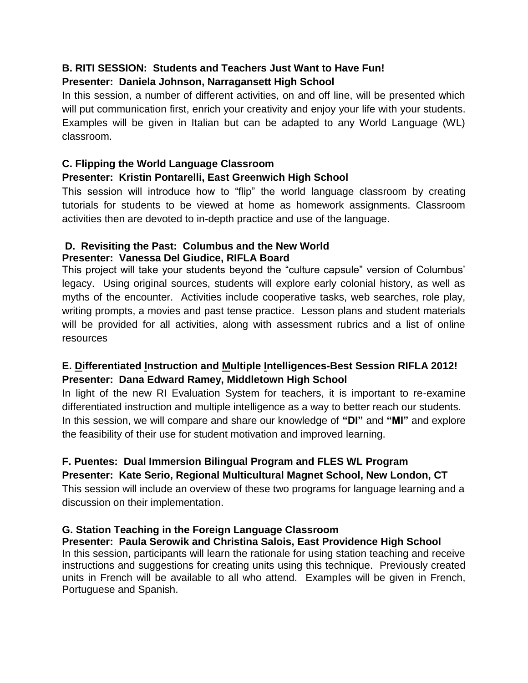## **B. RITI SESSION: Students and Teachers Just Want to Have Fun! Presenter: Daniela Johnson, Narragansett High School**

In this session, a number of different activities, on and off line, will be presented which will put communication first, enrich your creativity and enjoy your life with your students. Examples will be given in Italian but can be adapted to any World Language (WL) classroom.

### **C. Flipping the World Language Classroom**

#### **Presenter: Kristin Pontarelli, East Greenwich High School**

This session will introduce how to "flip" the world language classroom by creating tutorials for students to be viewed at home as homework assignments. Classroom activities then are devoted to in-depth practice and use of the language.

#### **D. Revisiting the Past: Columbus and the New World Presenter: Vanessa Del Giudice, RIFLA Board**

This project will take your students beyond the "culture capsule" version of Columbus' legacy. Using original sources, students will explore early colonial history, as well as myths of the encounter. Activities include cooperative tasks, web searches, role play, writing prompts, a movies and past tense practice. Lesson plans and student materials will be provided for all activities, along with assessment rubrics and a list of online resources

## **E. Differentiated Instruction and Multiple Intelligences-Best Session RIFLA 2012! Presenter: Dana Edward Ramey, Middletown High School**

In light of the new RI Evaluation System for teachers, it is important to re-examine differentiated instruction and multiple intelligence as a way to better reach our students. In this session, we will compare and share our knowledge of **"DI"** and **"MI"** and explore the feasibility of their use for student motivation and improved learning.

## **F. Puentes: Dual Immersion Bilingual Program and FLES WL Program Presenter: Kate Serio, Regional Multicultural Magnet School, New London, CT**

This session will include an overview of these two programs for language learning and a discussion on their implementation.

## **G. Station Teaching in the Foreign Language Classroom**

#### **Presenter: Paula Serowik and Christina Salois, East Providence High School**

In this session, participants will learn the rationale for using station teaching and receive instructions and suggestions for creating units using this technique. Previously created units in French will be available to all who attend. Examples will be given in French, Portuguese and Spanish.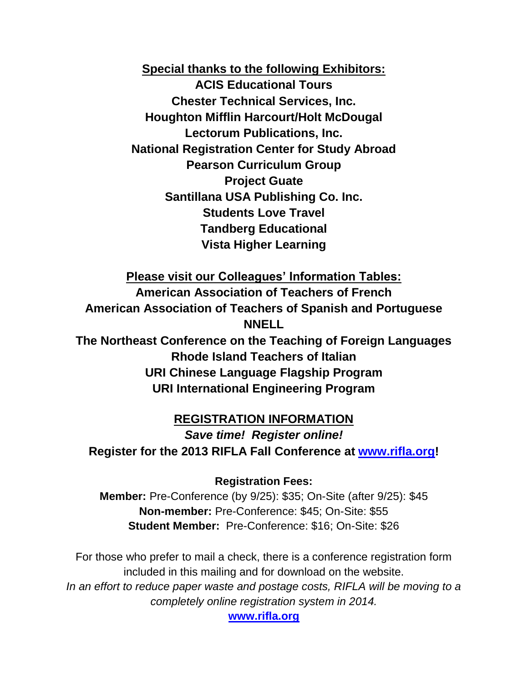**Special thanks to the following Exhibitors: ACIS Educational Tours Chester Technical Services, Inc. Houghton Mifflin Harcourt/Holt McDougal Lectorum Publications, Inc. National Registration Center for Study Abroad Pearson Curriculum Group Project Guate Santillana USA Publishing Co. Inc. Students Love Travel Tandberg Educational Vista Higher Learning**

**Please visit our Colleagues' Information Tables: American Association of Teachers of French American Association of Teachers of Spanish and Portuguese NNELL**

**The Northeast Conference on the Teaching of Foreign Languages Rhode Island Teachers of Italian URI Chinese Language Flagship Program URI International Engineering Program**

**REGISTRATION INFORMATION** *Save time! Register online!*  **Register for the 2013 RIFLA Fall Conference at [www.rifla.org!](http://www.rifla.org/)**

#### **Registration Fees:**

**Member:** Pre-Conference (by 9/25): \$35; On-Site (after 9/25): \$45 **Non-member:** Pre-Conference: \$45; On-Site: \$55 **Student Member:** Pre-Conference: \$16; On-Site: \$26

For those who prefer to mail a check, there is a conference registration form included in this mailing and for download on the website. In an effort to reduce paper waste and postage costs, RIFLA will be moving to a *completely online registration system in 2014.* 

**[www.rifla.org](http://www.rifla.org/)**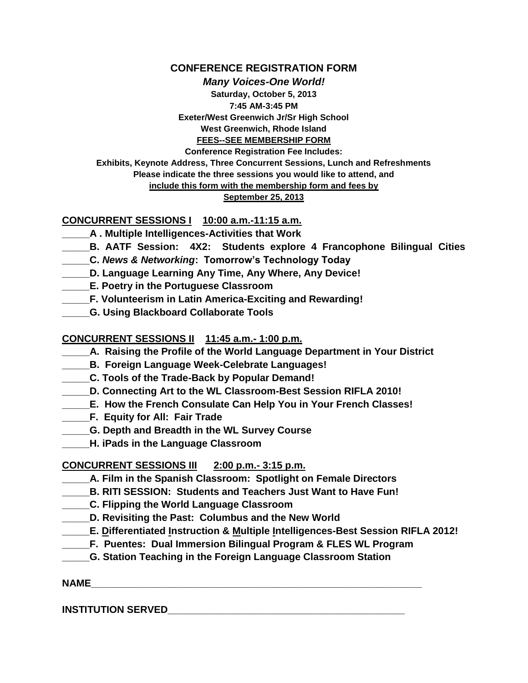#### **CONFERENCE REGISTRATION FORM**

*Many Voices-One World!*

**Saturday, October 5, 2013 7:45 AM-3:45 PM Exeter/West Greenwich Jr/Sr High School West Greenwich, Rhode Island FEES--SEE MEMBERSHIP FORM**

**Conference Registration Fee Includes: Exhibits, Keynote Address, Three Concurrent Sessions, Lunch and Refreshments Please indicate the three sessions you would like to attend, and include this form with the membership form and fees by**

#### **September 25, 2013**

#### **CONCURRENT SESSIONS I 10:00 a.m.-11:15 a.m.**

- **\_\_\_\_\_A . Multiple Intelligences-Activities that Work**
- **\_\_\_\_\_B. AATF Session: 4X2: Students explore 4 Francophone Bilingual Cities**
- **\_\_\_\_\_C.** *News & Networking***: Tomorrow's Technology Today**
- **\_\_\_\_\_D. Language Learning Any Time, Any Where, Any Device!**
- **\_\_\_\_\_E. Poetry in the Portuguese Classroom**
- **\_\_\_\_\_F. Volunteerism in Latin America-Exciting and Rewarding!**
- **\_\_\_\_\_G. Using Blackboard Collaborate Tools**

#### **CONCURRENT SESSIONS II 11:45 a.m.- 1:00 p.m.**

- **\_\_\_\_\_A. Raising the Profile of the World Language Department in Your District**
- **\_\_\_\_\_B. Foreign Language Week-Celebrate Languages!**
- **\_\_\_\_\_C. Tools of the Trade-Back by Popular Demand!**
- **\_\_\_\_\_D. Connecting Art to the WL Classroom-Best Session RIFLA 2010!**
- **\_\_\_\_\_E. How the French Consulate Can Help You in Your French Classes!**
- **\_\_\_\_\_F. Equity for All: Fair Trade**
- **\_\_\_\_\_G. Depth and Breadth in the WL Survey Course**
- **\_\_\_\_\_H. iPads in the Language Classroom**

#### **CONCURRENT SESSIONS III 2:00 p.m.- 3:15 p.m.**

- **\_\_\_\_\_A. Film in the Spanish Classroom: Spotlight on Female Directors**
- **\_\_\_\_\_B. RITI SESSION: Students and Teachers Just Want to Have Fun!**
- **\_\_\_\_\_C. Flipping the World Language Classroom**
- **\_\_\_\_\_D. Revisiting the Past: Columbus and the New World**
- **\_\_\_\_\_E. Differentiated Instruction & Multiple Intelligences-Best Session RIFLA 2012!**
- **\_\_\_\_\_F. Puentes: Dual Immersion Bilingual Program & FLES WL Program**
- **\_\_\_\_\_G. Station Teaching in the Foreign Language Classroom Station**

#### **NAME\_\_\_\_\_\_\_\_\_\_\_\_\_\_\_\_\_\_\_\_\_\_\_\_\_\_\_\_\_\_\_\_\_\_\_\_\_\_\_\_\_\_\_\_\_\_\_\_\_\_\_\_\_\_\_\_\_\_\_\_**

#### **INSTITUTION SERVED\_\_\_\_\_\_\_\_\_\_\_\_\_\_\_\_\_\_\_\_\_\_\_\_\_\_\_\_\_\_\_\_\_\_\_\_\_\_\_\_\_\_\_**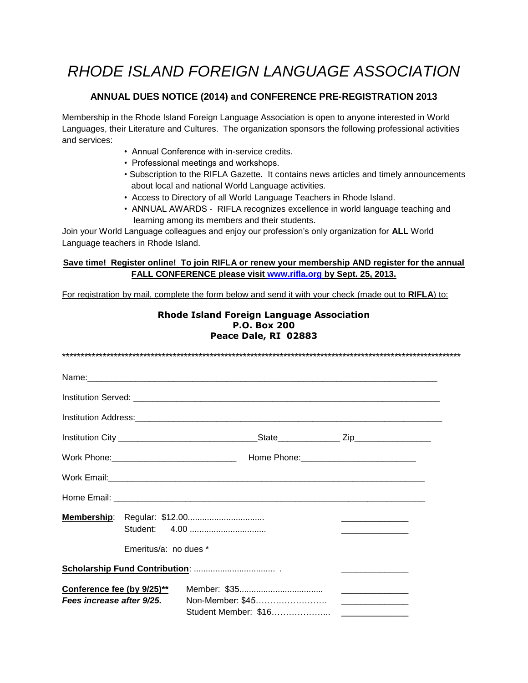## *RHODE ISLAND FOREIGN LANGUAGE ASSOCIATION*

#### **ANNUAL DUES NOTICE (2014) and CONFERENCE PRE-REGISTRATION 2013**

Membership in the Rhode Island Foreign Language Association is open to anyone interested in World Languages, their Literature and Cultures. The organization sponsors the following professional activities and services:

- Annual Conference with in-service credits.
- Professional meetings and workshops.
- Subscription to the RIFLA Gazette. It contains news articles and timely announcements about local and national World Language activities.
- Access to Directory of all World Language Teachers in Rhode Island.
- ANNUAL AWARDS RIFLA recognizes excellence in world language teaching and learning among its members and their students.

Join your World Language colleagues and enjoy our profession's only organization for **ALL** World Language teachers in Rhode Island.

#### **Save time! Register online! To join RIFLA or renew your membership AND register for the annual FALL CONFERENCE please visit [www.rifla.org](http://www.rifla.org/) by Sept. 25, 2013.**

For registration by mail, complete the form below and send it with your check (made out to **RIFLA**) to:

| <b>Rhode Island Foreign Language Association</b><br><b>P.O. Box 200</b><br>Peace Dale, RI 02883 |  |  |  |
|-------------------------------------------------------------------------------------------------|--|--|--|
|                                                                                                 |  |  |  |
|                                                                                                 |  |  |  |
|                                                                                                 |  |  |  |
|                                                                                                 |  |  |  |
|                                                                                                 |  |  |  |
|                                                                                                 |  |  |  |
|                                                                                                 |  |  |  |
|                                                                                                 |  |  |  |
| Emeritus/a: no dues *                                                                           |  |  |  |
|                                                                                                 |  |  |  |
| Conference fee (by 9/25)**<br>Fees increase after 9/25.                                         |  |  |  |